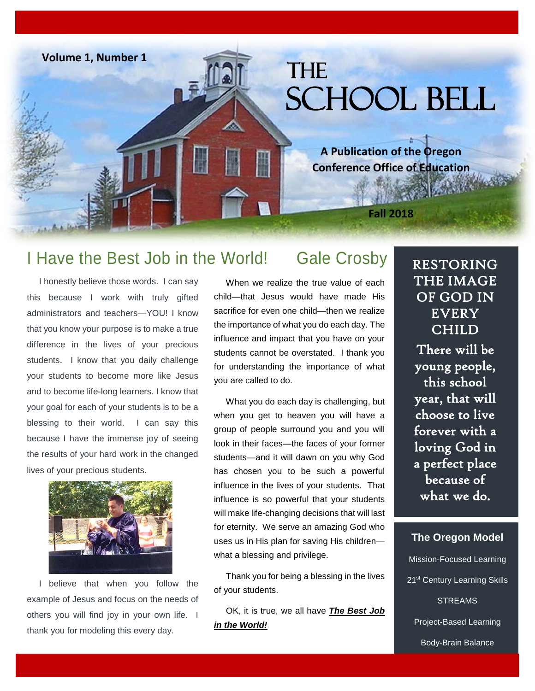

**A Publication of the Oregon Conference Office of Education**

**Fall 2018**

## I Have the Best Job in the World! Gale Crosby

 I honestly believe those words. I can say this because I work with truly gifted administrators and teachers—YOU! I know that you know your purpose is to make a true difference in the lives of your precious students. I know that you daily challenge your students to become more like Jesus and to become life-long learners. I know that your goal for each of your students is to be a blessing to their world. I can say this because I have the immense joy of seeing the results of your hard work in the changed lives of your precious students.

**Volume 1, Number 1** 



 I believe that when you follow the example of Jesus and focus on the needs of others you will find joy in your own life. I thank you for modeling this every day.

í

 When we realize the true value of each child—that Jesus would have made His sacrifice for even one child—then we realize the importance of what you do each day. The influence and impact that you have on your students cannot be overstated. I thank you for understanding the importance of what you are called to do.

 What you do each day is challenging, but when you get to heaven you will have a group of people surround you and you will look in their faces—the faces of your former students—and it will dawn on you why God has chosen you to be such a powerful influence in the lives of your students. That influence is so powerful that your students will make life-changing decisions that will last for eternity. We serve an amazing God who uses us in His plan for saving His children what a blessing and privilege.

 Thank you for being a blessing in the lives of your students.

 OK, it is true, we all have *The Best Job in the World!*

RESTORING THE IMAGE OF GOD IN EVERY CHILD

There will be young people, this school year, that will choose to live forever with a loving God in a perfect place because of what we do.

**The Oregon Model** Mission-Focused Learning 21<sup>st</sup> Century Learning Skills **STREAMS** 

Project-Based Learning

Body-Brain Balance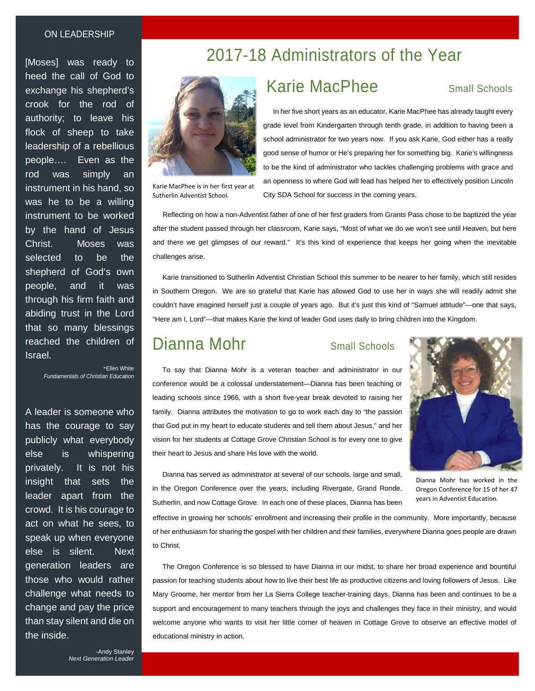### ON LEADERSHIP

[Moses] was ready to heed the call of God to exchange his shepherd's crook for the rod of authority; to leave his flock of sheep to take leadership of a rebellious people…. Even as the rod was simply an instrument in his hand, so was he to be a willing instrument to be worked by the hand of Jesus Christ. Moses was selected to be the shepherd of God's own people, and it was through his firm faith and abiding trust in the Lord that so many blessings reached the children of Israel.

> -Ellen White *Fundamentals of Christian Education*

A leader is someone who has the courage to say publicly what everybody else is whispering privately. It is not his insight that sets the leader apart from the crowd. It is his courage to act on what he sees, to speak up when everyone else is silent. Next generation leaders are those who would rather challenge what needs to change and pay the price than stay silent and die on the inside.

## 2017-18 Administrators of the Year



Karie MacPhee is in her first year at Sutherlin Adventist School.

# Karie MacPhee Small Schools

 In her five short years as an educator, Karie MacPhee has already taught every grade level from Kindergarten through tenth grade, in addition to having been a school administrator for two years now. If you ask Karie, God either has a really good sense of humor or He's preparing her for something big. Karie's willingness to be the kind of administrator who tackles challenging problems with grace and an openness to where God will lead has helped her to effectively position Lincoln City SDA School for success in the coming years.

 Reflecting on how a non-Adventist father of one of her first graders from Grants Pass chose to be baptized the year after the student passed through her classroom, Karie says, "Most of what we do we won't see until Heaven, but here and there we get glimpses of our reward." It's this kind of experience that keeps her going when the inevitable challenges arise.

 Karie transitioned to Sutherlin Adventist Christian School this summer to be nearer to her family, which still resides in Southern Oregon. We are so grateful that Karie has allowed God to use her in ways she will readily admit she couldn't have imagined herself just a couple of years ago. But it's just this kind of "Samuel attitude"—one that says, "Here am I, Lord"—that makes Karie the kind of leader God uses daily to bring children into the Kingdom.

## Dianna Mohr Small Schools

 To say that Dianna Mohr is a veteran teacher and administrator in our conference would be a colossal understatement—Dianna has been teaching or leading schools since 1966, with a short five-year break devoted to raising her family. Dianna attributes the motivation to go to work each day to "the passion that God put in my heart to educate students and tell them about Jesus," and her vision for her students at Cottage Grove Christian School is for every one to give their heart to Jesus and share His love with the world.



 Dianna has served as administrator at several of our schools, large and small, in the Oregon Conference over the years, including Rivergate, Grand Ronde, Sutherlin, and now Cottage Grove. In each one of these places, Dianna has been

Dianna Mohr has worked in the Oregon Conference for 15 of her 47 years in Adventist Education.

effective in growing her schools' enrollment and increasing their profile in the community. More importantly, because of her enthusiasm for sharing the gospel with her children and their families, everywhere Dianna goes people are drawn to Christ.

 The Oregon Conference is so blessed to have Dianna in our midst, to share her broad experience and bountiful passion for teaching students about how to live their best life as productive citizens and loving followers of Jesus. Like Mary Groome, her mentor from her La Sierra College teacher-training days, Dianna has been and continues to be a support and encouragement to many teachers through the joys and challenges they face in their ministry, and would welcome anyone who wants to visit her little corner of heaven in Cottage Grove to observe an effective model of educational ministry in action.

-Andy Stanley *Next Generation Leader*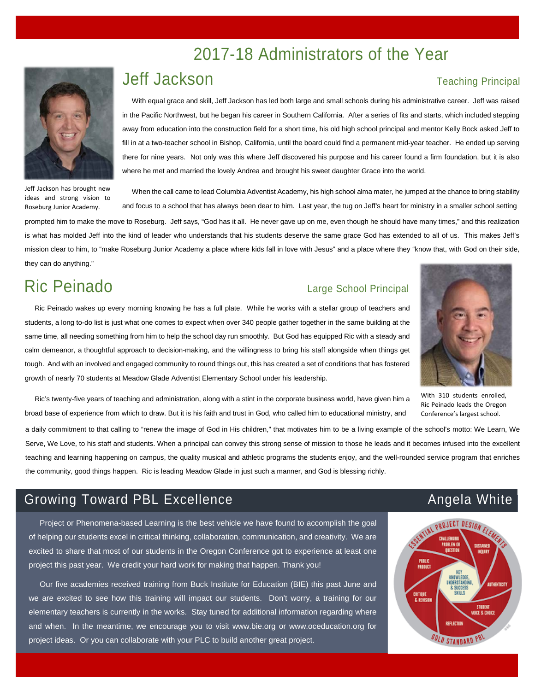Jeff Jackson has brought new ideas and strong vision to Roseburg Junior Academy.

# 2017-18 Administrators of the Year

## **Jeff Jackson** Teaching Principal

 With equal grace and skill, Jeff Jackson has led both large and small schools during his administrative career. Jeff was raised in the Pacific Northwest, but he began his career in Southern California. After a series of fits and starts, which included stepping away from education into the construction field for a short time, his old high school principal and mentor Kelly Bock asked Jeff to fill in at a two-teacher school in Bishop, California, until the board could find a permanent mid-year teacher. He ended up serving there for nine years. Not only was this where Jeff discovered his purpose and his career found a firm foundation, but it is also where he met and married the lovely Andrea and brought his sweet daughter Grace into the world.

 When the call came to lead Columbia Adventist Academy, his high school alma mater, he jumped at the chance to bring stability and focus to a school that has always been dear to him. Last year, the tug on Jeff's heart for ministry in a smaller school setting

prompted him to make the move to Roseburg. Jeff says, "God has it all. He never gave up on me, even though he should have many times," and this realization is what has molded Jeff into the kind of leader who understands that his students deserve the same grace God has extended to all of us. This makes Jeff's mission clear to him, to "make Roseburg Junior Academy a place where kids fall in love with Jesus" and a place where they "know that, with God on their side, they can do anything."

# Ric Peinado **Large School Principal**



With 310 students enrolled, Ric Peinado leads the Oregon Conference's largest school.

students, a long to-do list is just what one comes to expect when over 340 people gather together in the same building at the same time, all needing something from him to help the school day run smoothly. But God has equipped Ric with a steady and calm demeanor, a thoughtful approach to decision-making, and the willingness to bring his staff alongside when things get tough. And with an involved and engaged community to round things out, this has created a set of conditions that has fostered growth of nearly 70 students at Meadow Glade Adventist Elementary School under his leadership.

Ric Peinado wakes up every morning knowing he has a full plate. While he works with a stellar group of teachers and

 Ric's twenty-five years of teaching and administration, along with a stint in the corporate business world, have given him a broad base of experience from which to draw. But it is his faith and trust in God, who called him to educational ministry, and

a daily commitment to that calling to "renew the image of God in His children," that motivates him to be a living example of the school's motto: We Learn, We Serve, We Love, to his staff and students. When a principal can convey this strong sense of mission to those he leads and it becomes infused into the excellent teaching and learning happening on campus, the quality musical and athletic programs the students enjoy, and the well-rounded service program that enriches the community, good things happen. Ric is leading Meadow Glade in just such a manner, and God is blessing richly.

# Growing Toward PBL Excellence Angela White

 Project or Phenomena-based Learning is the best vehicle we have found to accomplish the goal of helping our students excel in critical thinking, collaboration, communication, and creativity. We are excited to share that most of our students in the Oregon Conference got to experience at least one project this past year. We credit your hard work for making that happen. Thank you!

 Our five academies received training from Buck Institute for Education (BIE) this past June and we are excited to see how this training will impact our students. Don't worry, a training for our elementary teachers is currently in the works. Stay tuned for additional information regarding where and when. In the meantime, we encourage you to visit www.bie.org or www.oceducation.org for project ideas. Or you can collaborate with your PLC to build another great project.



**SKILLS** 

REFLECTION

**GOLD STANDARD PB** 

STUDENT VOICE & CHOICE

CRITIQUE & REVISION